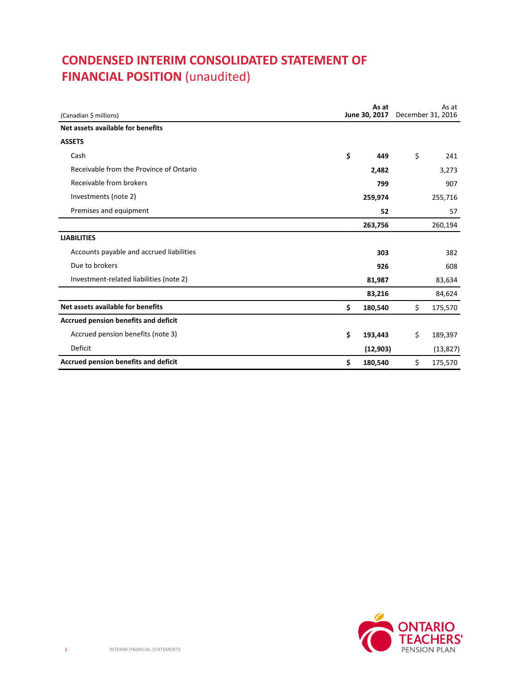# **CONDENSED INTERIM CONSOLIDATED STATEMENT OF FINANCIAL POSITION (unaudited)**

| (Canadian \$ millions)                   |    | As at<br>June 30, 2017 | As at<br>December 31, 2016 |
|------------------------------------------|----|------------------------|----------------------------|
| Net assets available for benefits        |    |                        |                            |
| <b>ASSETS</b>                            |    |                        |                            |
| Cash                                     | \$ | 449                    | \$<br>241                  |
| Receivable from the Province of Ontario  |    | 2,482                  | 3,273                      |
| Receivable from brokers                  |    | 799                    | 907                        |
| Investments (note 2)                     |    | 259,974                | 255,716                    |
| Premises and equipment                   |    | 52                     | 57                         |
|                                          |    | 263,756                | 260,194                    |
| <b>LIABILITIES</b>                       |    |                        |                            |
| Accounts payable and accrued liabilities |    | 303                    | 382                        |
| Due to brokers                           |    | 926                    | 608                        |
| Investment-related liabilities (note 2)  |    | 81,987                 | 83,634                     |
|                                          |    | 83,216                 | 84,624                     |
| Net assets available for benefits        | \$ | 180,540                | \$<br>175,570              |
| Accrued pension benefits and deficit     |    |                        |                            |
| Accrued pension benefits (note 3)        | \$ | 193,443                | \$<br>189,397              |
| <b>Deficit</b>                           |    | (12, 903)              | (13, 827)                  |
| Accrued pension benefits and deficit     | \$ | 180,540                | \$<br>175,570              |

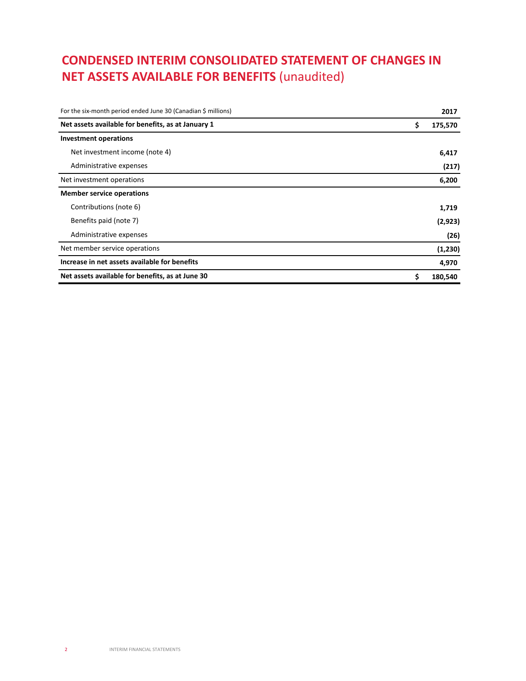# **CONDENSED INTERIM CONSOLIDATED STATEMENT OF CHANGES IN NET ASSETS AVAILABLE FOR BENEFITS** (unaudited)

| For the six-month period ended June 30 (Canadian \$ millions) | 2017          |
|---------------------------------------------------------------|---------------|
| Net assets available for benefits, as at January 1            | \$<br>175,570 |
| <b>Investment operations</b>                                  |               |
| Net investment income (note 4)                                | 6,417         |
| Administrative expenses                                       | (217)         |
| Net investment operations                                     | 6,200         |
| <b>Member service operations</b>                              |               |
| Contributions (note 6)                                        | 1,719         |
| Benefits paid (note 7)                                        | (2,923)       |
| Administrative expenses                                       | (26)          |
| Net member service operations                                 | (1, 230)      |
| Increase in net assets available for benefits                 | 4,970         |
| Net assets available for benefits, as at June 30              | \$<br>180,540 |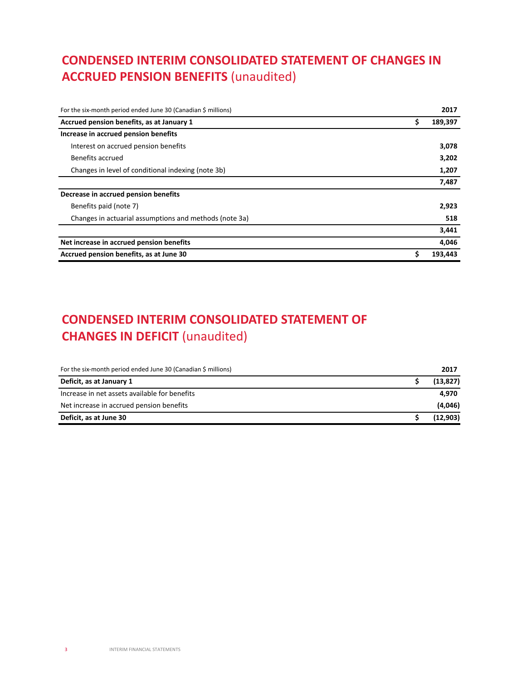# **CONDENSED INTERIM CONSOLIDATED STATEMENT OF CHANGES IN ACCRUED PENSION BENEFITS** (unaudited)

| For the six-month period ended June 30 (Canadian \$ millions) |    | 2017    |
|---------------------------------------------------------------|----|---------|
| Accrued pension benefits, as at January 1                     | \$ | 189,397 |
| Increase in accrued pension benefits                          |    |         |
| Interest on accrued pension benefits                          |    | 3,078   |
| Benefits accrued                                              |    | 3,202   |
| Changes in level of conditional indexing (note 3b)            |    |         |
|                                                               |    | 7,487   |
| Decrease in accrued pension benefits                          |    |         |
| Benefits paid (note 7)                                        |    | 2,923   |
| Changes in actuarial assumptions and methods (note 3a)        |    | 518     |
|                                                               |    | 3,441   |
| Net increase in accrued pension benefits                      |    | 4,046   |
| Accrued pension benefits, as at June 30                       | \$ | 193,443 |

# **CONDENSED INTERIM CONSOLIDATED STATEMENT OF CHANGES IN DEFICIT** (unaudited)

| For the six-month period ended June 30 (Canadian \$ millions) | 2017      |
|---------------------------------------------------------------|-----------|
| Deficit, as at January 1                                      | (13, 827) |
| Increase in net assets available for benefits                 | 4.970     |
| Net increase in accrued pension benefits                      | (4,046)   |
| Deficit, as at June 30                                        | (12,903)  |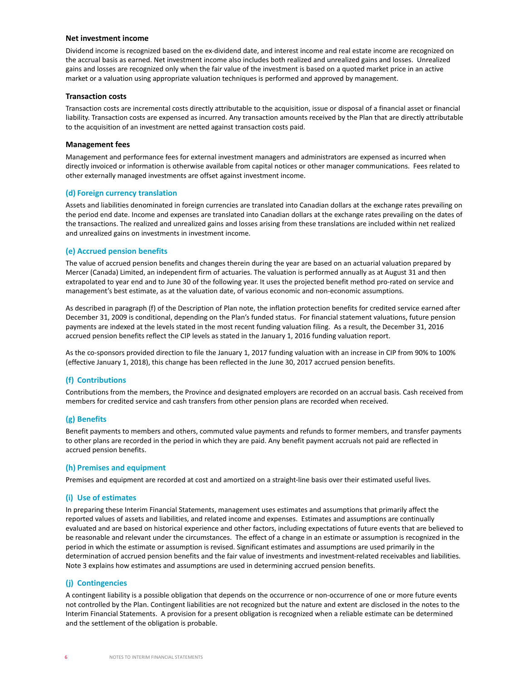#### **Net investment income**

Dividend income is recognized based on the ex-dividend date, and interest income and real estate income are recognized on the accrual basis as earned. Net investment income also includes both realized and unrealized gains and losses. Unrealized gains and losses are recognized only when the fair value of the investment is based on a quoted market price in an active market or a valuation using appropriate valuation techniques is performed and approved by management.

#### **Transaction costs**

Transaction costs are incremental costs directly attributable to the acquisition, issue or disposal of a financial asset or financial liability. Transaction costs are expensed as incurred. Any transaction amounts received by the Plan that are directly attributable to the acquisition of an investment are netted against transaction costs paid.

#### **Management fees**

Management and performance fees for external investment managers and administrators are expensed as incurred when directly invoiced or information is otherwise available from capital notices or other manager communications. Fees related to other externally managed investments are offset against investment income.

#### **(d) Foreign currency translation**

Assets and liabilities denominated in foreign currencies are translated into Canadian dollars at the exchange rates prevailing on the period end date. Income and expenses are translated into Canadian dollars at the exchange rates prevailing on the dates of the transactions. The realized and unrealized gains and losses arising from these translations are included within net realized and unrealized gains on investments in investment income.

### **(e) Accrued pension benefits**

The value of accrued pension benefits and changes therein during the year are based on an actuarial valuation prepared by Mercer (Canada) Limited, an independent firm of actuaries. The valuation is performed annually as at August 31 and then extrapolated to year end and to June 30 of the following year. It uses the projected benefit method pro-rated on service and management's best estimate, as at the valuation date, of various economic and non-economic assumptions.

As described in paragraph (f) of the Description of Plan note, the inflation protection benefits for credited service earned after December 31, 2009 is conditional, depending on the Plan's funded status. For financial statement valuations, future pension payments are indexed at the levels stated in the most recent funding valuation filing. As a result, the December 31, 2016 accrued pension benefits reflect the CIP levels as stated in the January 1, 2016 funding valuation report.

As the co-sponsors provided direction to file the January 1, 2017 funding valuation with an increase in CIP from 90% to 100% (effective January 1, 2018), this change has been reflected in the June 30, 2017 accrued pension benefits.

### **(f) Contributions**

Contributions from the members, the Province and designated employers are recorded on an accrual basis. Cash received from members for credited service and cash transfers from other pension plans are recorded when received.

### **(g) Benefits**

Benefit payments to members and others, commuted value payments and refunds to former members, and transfer payments to other plans are recorded in the period in which they are paid. Any benefit payment accruals not paid are reflected in accrued pension benefits.

#### **(h) Premises and equipment**

Premises and equipment are recorded at cost and amortized on a straight-line basis over their estimated useful lives.

### **(i) Use of estimates**

In preparing these Interim Financial Statements, management uses estimates and assumptions that primarily affect the reported values of assets and liabilities, and related income and expenses. Estimates and assumptions are continually evaluated and are based on historical experience and other factors, including expectations of future events that are believed to be reasonable and relevant under the circumstances. The effect of a change in an estimate or assumption is recognized in the period in which the estimate or assumption is revised. Significant estimates and assumptions are used primarily in the determination of accrued pension benefits and the fair value of investments and investment-related receivables and liabilities. Note 3 explains how estimates and assumptions are used in determining accrued pension benefits.

### **(j) Contingencies**

A contingent liability is a possible obligation that depends on the occurrence or non-occurrence of one or more future events not controlled by the Plan. Contingent liabilities are not recognized but the nature and extent are disclosed in the notes to the Interim Financial Statements. A provision for a present obligation is recognized when a reliable estimate can be determined and the settlement of the obligation is probable.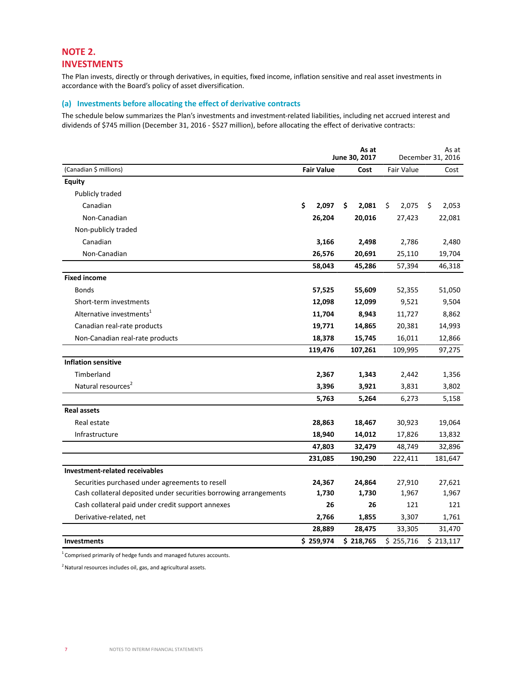# **NOTE 2. INVESTMENTS**

The Plan invests, directly or through derivatives, in equities, fixed income, inflation sensitive and real asset investments in accordance with the Board's policy of asset diversification.

## **(a) Investments before allocating the effect of derivative contracts**

The schedule below summarizes the Plan's investments and investment-related liabilities, including net accrued interest and dividends of \$745 million (December 31, 2016 - \$527 million), before allocating the effect of derivative contracts:

|                                                                   |     |                   | As at<br>June 30, 2017 |                   | As at<br>December 31, 2016 |
|-------------------------------------------------------------------|-----|-------------------|------------------------|-------------------|----------------------------|
| (Canadian \$ millions)                                            |     | <b>Fair Value</b> | Cost                   | <b>Fair Value</b> | Cost                       |
| <b>Equity</b>                                                     |     |                   |                        |                   |                            |
| Publicly traded                                                   |     |                   |                        |                   |                            |
| Canadian                                                          | \$. | 2,097             | \$<br>2,081            | \$<br>2,075       | \$<br>2,053                |
| Non-Canadian                                                      |     | 26,204            | 20,016                 | 27,423            | 22,081                     |
| Non-publicly traded                                               |     |                   |                        |                   |                            |
| Canadian                                                          |     | 3,166             | 2,498                  | 2,786             | 2,480                      |
| Non-Canadian                                                      |     | 26,576            | 20,691                 | 25,110            | 19,704                     |
|                                                                   |     | 58,043            | 45,286                 | 57,394            | 46,318                     |
| <b>Fixed income</b>                                               |     |                   |                        |                   |                            |
| <b>Bonds</b>                                                      |     | 57,525            | 55,609                 | 52,355            | 51,050                     |
| Short-term investments                                            |     | 12,098            | 12,099                 | 9,521             | 9,504                      |
| Alternative investments <sup>1</sup>                              |     | 11,704            | 8,943                  | 11,727            | 8,862                      |
| Canadian real-rate products                                       |     | 19,771            | 14,865                 | 20,381            | 14,993                     |
| Non-Canadian real-rate products                                   |     | 18,378            | 15,745                 | 16,011            | 12,866                     |
|                                                                   |     | 119,476           | 107,261                | 109,995           | 97,275                     |
| <b>Inflation sensitive</b>                                        |     |                   |                        |                   |                            |
| Timberland                                                        |     | 2,367             | 1,343                  | 2,442             | 1,356                      |
| Natural resources <sup>2</sup>                                    |     | 3,396             | 3,921                  | 3,831             | 3,802                      |
|                                                                   |     | 5,763             | 5,264                  | 6,273             | 5,158                      |
| <b>Real assets</b>                                                |     |                   |                        |                   |                            |
| Real estate                                                       |     | 28,863            | 18,467                 | 30,923            | 19,064                     |
| Infrastructure                                                    |     | 18,940            | 14,012                 | 17,826            | 13,832                     |
|                                                                   |     | 47,803            | 32,479                 | 48,749            | 32,896                     |
|                                                                   |     | 231,085           | 190,290                | 222,411           | 181,647                    |
| Investment-related receivables                                    |     |                   |                        |                   |                            |
| Securities purchased under agreements to resell                   |     | 24,367            | 24,864                 | 27,910            | 27,621                     |
| Cash collateral deposited under securities borrowing arrangements |     | 1,730             | 1,730                  | 1,967             | 1,967                      |
| Cash collateral paid under credit support annexes                 |     | 26                | 26                     | 121               | 121                        |
| Derivative-related, net                                           |     | 2,766             | 1,855                  | 3,307             | 1,761                      |
|                                                                   |     | 28,889            | 28,475                 | 33,305            | 31,470                     |
| <b>Investments</b>                                                |     | \$259,974         | \$218,765              | \$255,716         | \$213,117                  |

 $1$ Comprised primarily of hedge funds and managed futures accounts.

 $2$  Natural resources includes oil, gas, and agricultural assets.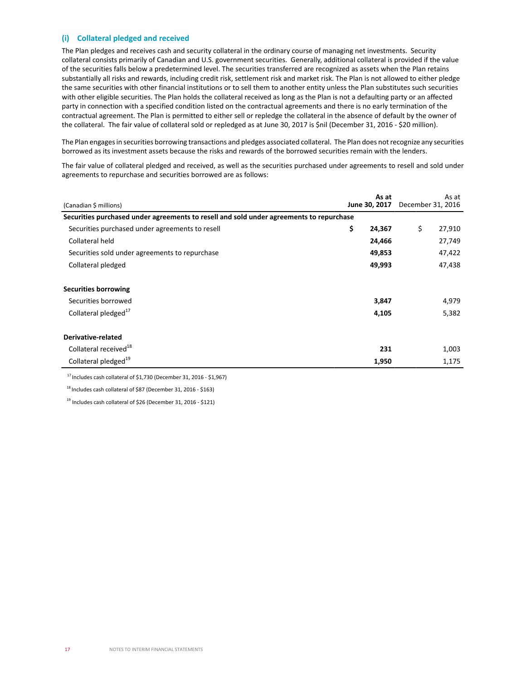### **(i) Collateral pledged and received**

The Plan pledges and receives cash and security collateral in the ordinary course of managing net investments. Security collateral consists primarily of Canadian and U.S. government securities. Generally, additional collateral is provided if the value of the securities falls below a predetermined level. The securities transferred are recognized as assets when the Plan retains substantially all risks and rewards, including credit risk, settlement risk and market risk. The Plan is not allowed to either pledge the same securities with other financial institutions or to sell them to another entity unless the Plan substitutes such securities with other eligible securities. The Plan holds the collateral received as long as the Plan is not a defaulting party or an affected party in connection with a specified condition listed on the contractual agreements and there is no early termination of the contractual agreement. The Plan is permitted to either sell or repledge the collateral in the absence of default by the owner of the collateral. The fair value of collateral sold or repledged as at June 30, 2017 is \$nil (December 31, 2016 - \$20 million).

The Plan engages in securities borrowing transactions and pledges associated collateral. The Plan does not recognize any securities borrowed as its investment assets because the risks and rewards of the borrowed securities remain with the lenders.

The fair value of collateral pledged and received, as well as the securities purchased under agreements to resell and sold under agreements to repurchase and securities borrowed are as follows:

| (Canadian \$ millions)                                                                  | As at<br>June 30, 2017 | As at<br>December 31, 2016 |
|-----------------------------------------------------------------------------------------|------------------------|----------------------------|
| Securities purchased under agreements to resell and sold under agreements to repurchase |                        |                            |
| Securities purchased under agreements to resell                                         | \$<br>24,367           | \$<br>27,910               |
| Collateral held                                                                         | 24,466                 | 27,749                     |
| Securities sold under agreements to repurchase                                          | 49,853                 | 47,422                     |
| Collateral pledged                                                                      | 49,993                 | 47,438                     |
| <b>Securities borrowing</b>                                                             |                        |                            |
| Securities borrowed                                                                     | 3,847                  | 4,979                      |
| Collateral pledged <sup>17</sup>                                                        | 4,105                  | 5,382                      |
| Derivative-related                                                                      |                        |                            |
| Collateral received <sup>18</sup>                                                       | 231                    | 1,003                      |
| Collateral pledged <sup>19</sup>                                                        | 1,950                  | 1,175                      |

 $17$  Includes cash collateral of \$1,730 (December 31, 2016 - \$1,967)

<sup>18</sup> Includes cash collateral of \$87 (December 31, 2016 - \$163)

<sup>19</sup> Includes cash collateral of \$26 (December 31, 2016 - \$121)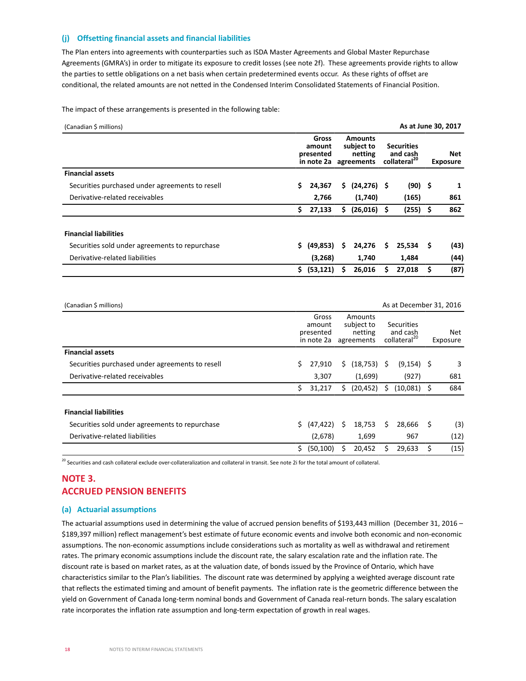### **(j) Offsetting financial assets and financial liabilities**

The Plan enters into agreements with counterparties such as ISDA Master Agreements and Global Master Repurchase Agreements (GMRA's) in order to mitigate its exposure to credit losses (see note 2f). These agreements provide rights to allow the parties to settle obligations on a net basis when certain predetermined events occur. As these rights of offset are conditional, the related amounts are not netted in the Condensed Interim Consolidated Statements of Financial Position.

The impact of these arrangements is presented in the following table:

| (Canadian \$ millions)                          |     |                                            |                                                       |                |    | As at June 30, 2017                                       |                        |      |  |
|-------------------------------------------------|-----|--------------------------------------------|-------------------------------------------------------|----------------|----|-----------------------------------------------------------|------------------------|------|--|
|                                                 |     | Gross<br>amount<br>presented<br>in note 2a | <b>Amounts</b><br>subject to<br>netting<br>agreements |                |    | <b>Securities</b><br>and cash<br>collateral <sup>20</sup> | Net<br><b>Exposure</b> |      |  |
| <b>Financial assets</b>                         |     |                                            |                                                       |                |    |                                                           |                        |      |  |
| Securities purchased under agreements to resell | S.  | 24,367                                     | \$.                                                   | $(24, 276)$ \$ |    | $(90)$ \$                                                 |                        | 1    |  |
| Derivative-related receivables                  |     | 2,766                                      |                                                       | (1,740)        |    | (165)                                                     |                        | 861  |  |
|                                                 | \$  | 27,133                                     | \$.                                                   | $(26,016)$ \$  |    | $(255)$ \$                                                |                        | 862  |  |
| <b>Financial liabilities</b>                    |     |                                            |                                                       |                |    |                                                           |                        |      |  |
| Securities sold under agreements to repurchase  |     | (49,853)                                   | \$                                                    | 24,276         | Š. | $25,534$ \$                                               |                        | (43) |  |
| Derivative-related liabilities                  |     | (3,268)                                    |                                                       | 1,740          |    | 1,484                                                     |                        | (44) |  |
|                                                 | \$. | (53, 121)                                  |                                                       | 26,016         | S  | 27,018                                                    | \$                     | (87) |  |

| (Canadian \$ millions)                          |    |                                            |    |                                                |    | As at December 31, 2016                                   |    |                 |
|-------------------------------------------------|----|--------------------------------------------|----|------------------------------------------------|----|-----------------------------------------------------------|----|-----------------|
|                                                 |    | Gross<br>amount<br>presented<br>in note 2a |    | Amounts<br>subject to<br>netting<br>agreements |    | <b>Securities</b><br>and cash<br>collateral <sup>20</sup> |    | Net<br>Exposure |
| <b>Financial assets</b>                         |    |                                            |    |                                                |    |                                                           |    |                 |
| Securities purchased under agreements to resell | Ś. | 27,910                                     | \$ | (18, 753)                                      | Ŝ. | $(9, 154)$ \$                                             |    | 3               |
| Derivative-related receivables                  |    | 3,307                                      |    | (1,699)                                        |    | (927)                                                     |    | 681             |
|                                                 | \$ | 31,217                                     | \$ | (20, 452)                                      | S  | $(10,081)$ \$                                             |    | 684             |
| <b>Financial liabilities</b>                    |    |                                            |    |                                                |    |                                                           |    |                 |
| Securities sold under agreements to repurchase  | Ś. | (47, 422)                                  | Ś  | 18,753                                         | Ś  | 28,666                                                    | \$ | (3)             |
| Derivative-related liabilities                  |    | (2,678)                                    |    | 1,699                                          |    | 967                                                       |    | (12)            |
|                                                 | \$ | (50, 100)                                  | S  | 20,452                                         | S  | 29,633                                                    | Ś  | (15)            |

 $^{20}$  Securities and cash collateral exclude over-collateralization and collateral in transit. See note 2i for the total amount of collateral.

# **NOTE 3. ACCRUED PENSION BENEFITS**

### **(a) Actuarial assumptions**

The actuarial assumptions used in determining the value of accrued pension benefits of \$193,443 million (December 31, 2016 – \$189,397 million) reflect management's best estimate of future economic events and involve both economic and non-economic assumptions. The non-economic assumptions include considerations such as mortality as well as withdrawal and retirement rates. The primary economic assumptions include the discount rate, the salary escalation rate and the inflation rate. The discount rate is based on market rates, as at the valuation date, of bonds issued by the Province of Ontario, which have characteristics similar to the Plan's liabilities. The discount rate was determined by applying a weighted average discount rate that reflects the estimated timing and amount of benefit payments. The inflation rate is the geometric difference between the yield on Government of Canada long-term nominal bonds and Government of Canada real-return bonds. The salary escalation rate incorporates the inflation rate assumption and long-term expectation of growth in real wages.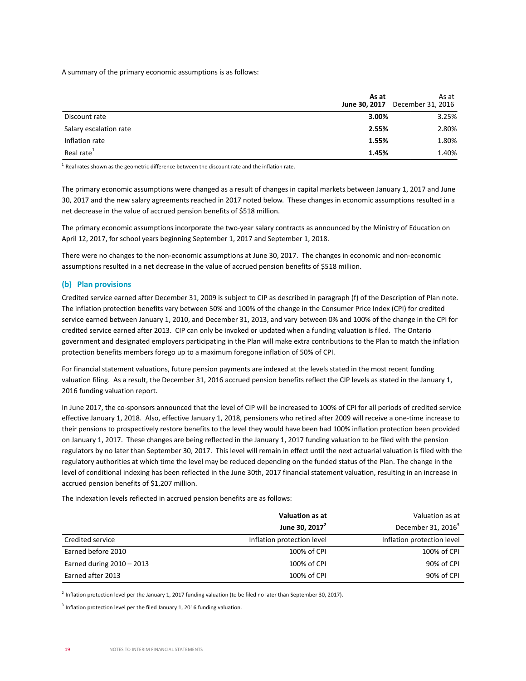A summary of the primary economic assumptions is as follows:

|                        | As at | As at<br><b>June 30, 2017</b> December 31, 2016 |
|------------------------|-------|-------------------------------------------------|
| Discount rate          | 3.00% | 3.25%                                           |
| Salary escalation rate | 2.55% | 2.80%                                           |
| Inflation rate         | 1.55% | 1.80%                                           |
| Real rate <sup>1</sup> | 1.45% | 1.40%                                           |

 $<sup>1</sup>$  Real rates shown as the geometric difference between the discount rate and the inflation rate.</sup>

The primary economic assumptions were changed as a result of changes in capital markets between January 1, 2017 and June 30, 2017 and the new salary agreements reached in 2017 noted below. These changes in economic assumptions resulted in a net decrease in the value of accrued pension benefits of \$518 million.

The primary economic assumptions incorporate the two-year salary contracts as announced by the Ministry of Education on April 12, 2017, for school years beginning September 1, 2017 and September 1, 2018.

There were no changes to the non-economic assumptions at June 30, 2017. The changes in economic and non-economic assumptions resulted in a net decrease in the value of accrued pension benefits of \$518 million.

## **(b) Plan provisions**

Credited service earned after December 31, 2009 is subject to CIP as described in paragraph (f) of the Description of Plan note. The inflation protection benefits vary between 50% and 100% of the change in the Consumer Price Index (CPI) for credited service earned between January 1, 2010, and December 31, 2013, and vary between 0% and 100% of the change in the CPI for credited service earned after 2013. CIP can only be invoked or updated when a funding valuation is filed. The Ontario government and designated employers participating in the Plan will make extra contributions to the Plan to match the inflation protection benefits members forego up to a maximum foregone inflation of 50% of CPI.

For financial statement valuations, future pension payments are indexed at the levels stated in the most recent funding valuation filing. As a result, the December 31, 2016 accrued pension benefits reflect the CIP levels as stated in the January 1, 2016 funding valuation report.

In June 2017, the co-sponsors announced that the level of CIP will be increased to 100% of CPI for all periods of credited service effective January 1, 2018. Also, effective January 1, 2018, pensioners who retired after 2009 will receive a one-time increase to their pensions to prospectively restore benefits to the level they would have been had 100% inflation protection been provided on January 1, 2017. These changes are being reflected in the January 1, 2017 funding valuation to be filed with the pension regulators by no later than September 30, 2017. This level will remain in effect until the next actuarial valuation is filed with the regulatory authorities at which time the level may be reduced depending on the funded status of the Plan. The change in the level of conditional indexing has been reflected in the June 30th, 2017 financial statement valuation, resulting in an increase in accrued pension benefits of \$1,207 million.

The indexation levels reflected in accrued pension benefits are as follows:

|                             | <b>Valuation as at</b>     | Valuation as at            |
|-----------------------------|----------------------------|----------------------------|
|                             | June 30, $2017^2$          | December 31, $20163$       |
| Credited service            | Inflation protection level | Inflation protection level |
| Earned before 2010          | 100% of CPI                | 100% of CPI                |
| Earned during $2010 - 2013$ | 100% of CPI                | 90% of CPI                 |
| Earned after 2013           | 100% of CPI                | 90% of CPI                 |

 $^2$  Inflation protection level per the January 1, 2017 funding valuation (to be filed no later than September 30, 2017).

 $3$  Inflation protection level per the filed January 1, 2016 funding valuation.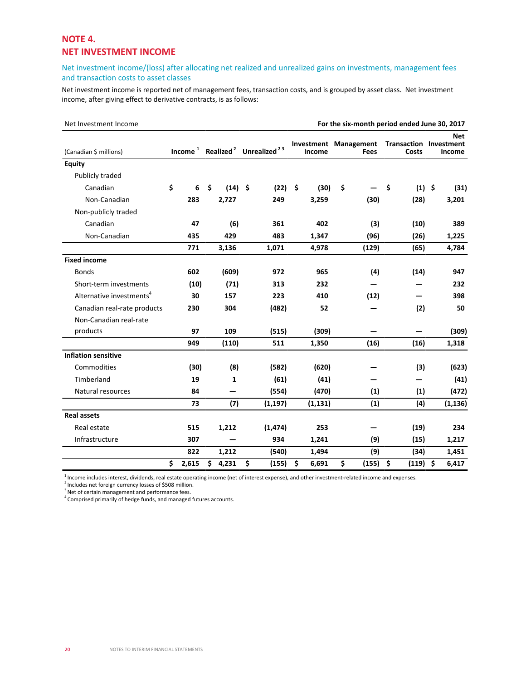## **NOTE 4. NET INVESTMENT INCOME**

## Net investment income/(loss) after allocating net realized and unrealized gains on investments, management fees and transaction costs to asset classes

Net investment income is reported net of management fees, transaction costs, and is grouped by asset class. Net investment income, after giving effect to derivative contracts, is as follows:

| Net Investment Income                |             |    |              |                                                |                                        | For the six-month period ended June 30, 2017 |                                        |               |
|--------------------------------------|-------------|----|--------------|------------------------------------------------|----------------------------------------|----------------------------------------------|----------------------------------------|---------------|
| (Canadian \$ millions)               | Income $1$  |    |              | Realized <sup>2</sup> Unrealized <sup>23</sup> | <b>Investment Management</b><br>Income | Fees                                         | <b>Transaction Investment</b><br>Costs | Net<br>Income |
| Equity                               |             |    |              |                                                |                                        |                                              |                                        |               |
| Publicly traded                      |             |    |              |                                                |                                        |                                              |                                        |               |
| Canadian                             | \$<br>6     | \$ | $(14)$ \$    | (22)                                           | \$<br>(30)                             | \$                                           | \$<br>$(1)$ \$                         | (31)          |
| Non-Canadian                         | 283         |    | 2,727        | 249                                            | 3,259                                  | (30)                                         | (28)                                   | 3,201         |
| Non-publicly traded                  |             |    |              |                                                |                                        |                                              |                                        |               |
| Canadian                             | 47          |    | (6)          | 361                                            | 402                                    | (3)                                          | (10)                                   | 389           |
| Non-Canadian                         | 435         |    | 429          | 483                                            | 1,347                                  | (96)                                         | (26)                                   | 1,225         |
|                                      | 771         |    | 3,136        | 1,071                                          | 4,978                                  | (129)                                        | (65)                                   | 4,784         |
| <b>Fixed income</b>                  |             |    |              |                                                |                                        |                                              |                                        |               |
| <b>Bonds</b>                         | 602         |    | (609)        | 972                                            | 965                                    | (4)                                          | (14)                                   | 947           |
| Short-term investments               | (10)        |    | (71)         | 313                                            | 232                                    |                                              |                                        | 232           |
| Alternative investments <sup>4</sup> | 30          |    | 157          | 223                                            | 410                                    | (12)                                         |                                        | 398           |
| Canadian real-rate products          | 230         |    | 304          | (482)                                          | 52                                     |                                              | (2)                                    | 50            |
| Non-Canadian real-rate               |             |    |              |                                                |                                        |                                              |                                        |               |
| products                             | 97          |    | 109          | (515)                                          | (309)                                  |                                              | —                                      | (309)         |
|                                      | 949         |    | (110)        | 511                                            | 1,350                                  | (16)                                         | (16)                                   | 1,318         |
| <b>Inflation sensitive</b>           |             |    |              |                                                |                                        |                                              |                                        |               |
| Commodities                          | (30)        |    | (8)          | (582)                                          | (620)                                  |                                              | (3)                                    | (623)         |
| Timberland                           | 19          |    | $\mathbf{1}$ | (61)                                           | (41)                                   |                                              |                                        | (41)          |
| Natural resources                    | 84          |    |              | (554)                                          | (470)                                  | (1)                                          | (1)                                    | (472)         |
|                                      | 73          |    | (7)          | (1, 197)                                       | (1, 131)                               | (1)                                          | (4)                                    | (1, 136)      |
| <b>Real assets</b>                   |             |    |              |                                                |                                        |                                              |                                        |               |
| Real estate                          | 515         |    | 1,212        | (1, 474)                                       | 253                                    |                                              | (19)                                   | 234           |
| Infrastructure                       | 307         |    |              | 934                                            | 1,241                                  | (9)                                          | (15)                                   | 1,217         |
|                                      | 822         |    | 1,212        | (540)                                          | 1,494                                  | (9)                                          | (34)                                   | 1,451         |
|                                      | \$<br>2,615 | Ś. | 4,231        | \$<br>(155)                                    | \$<br>6,691                            | \$<br>(155)                                  | \$<br>(119)                            | \$<br>6,417   |

 $\frac{1}{2}$  ncome includes interest, dividends, real estate operating income (net of interest expense), and other investment-related income and expenses.

 $2$  Includes net foreign currency losses of \$508 million.

 $3$  Net of certain management and performance fees.

<sup>4</sup>Comprised primarily of hedge funds, and managed futures accounts.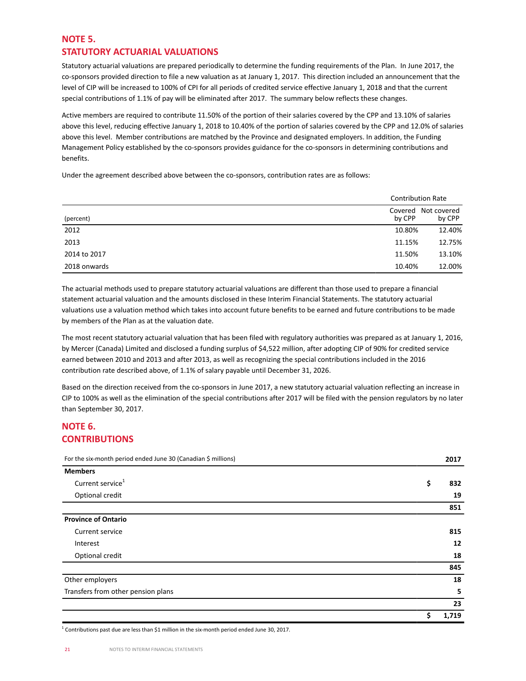# **NOTE 5. STATUTORY ACTUARIAL VALUATIONS**

Statutory actuarial valuations are prepared periodically to determine the funding requirements of the Plan. In June 2017, the co-sponsors provided direction to file a new valuation as at January 1, 2017. This direction included an announcement that the level of CIP will be increased to 100% of CPI for all periods of credited service effective January 1, 2018 and that the current special contributions of 1.1% of pay will be eliminated after 2017. The summary below reflects these changes.

Active members are required to contribute 11.50% of the portion of their salaries covered by the CPP and 13.10% of salaries above this level, reducing effective January 1, 2018 to 10.40% of the portion of salaries covered by the CPP and 12.0% of salaries above this level. Member contributions are matched by the Province and designated employers. In addition, the Funding Management Policy established by the co-sponsors provides guidance for the co-sponsors in determining contributions and benefits.

Under the agreement described above between the co-sponsors, contribution rates are as follows:

|              | <b>Contribution Rate</b> |                       |
|--------------|--------------------------|-----------------------|
| (percent)    | Covered<br>by CPP        | Not covered<br>by CPP |
| 2012         | 10.80%                   | 12.40%                |
| 2013         | 11.15%                   | 12.75%                |
| 2014 to 2017 | 11.50%                   | 13.10%                |
| 2018 onwards | 10.40%                   | 12.00%                |

The actuarial methods used to prepare statutory actuarial valuations are different than those used to prepare a financial statement actuarial valuation and the amounts disclosed in these Interim Financial Statements. The statutory actuarial valuations use a valuation method which takes into account future benefits to be earned and future contributions to be made by members of the Plan as at the valuation date.

The most recent statutory actuarial valuation that has been filed with regulatory authorities was prepared as at January 1, 2016, by Mercer (Canada) Limited and disclosed a funding surplus of \$4,522 million, after adopting CIP of 90% for credited service earned between 2010 and 2013 and after 2013, as well as recognizing the special contributions included in the 2016 contribution rate described above, of 1.1% of salary payable until December 31, 2026.

Based on the direction received from the co-sponsors in June 2017, a new statutory actuarial valuation reflecting an increase in CIP to 100% as well as the elimination of the special contributions after 2017 will be filed with the pension regulators by no later than September 30, 2017.

# **NOTE 6. CONTRIBUTIONS**

| For the six-month period ended June 30 (Canadian \$ millions) | 2017        |
|---------------------------------------------------------------|-------------|
| <b>Members</b>                                                |             |
| Current service <sup>1</sup>                                  | \$<br>832   |
| Optional credit                                               | 19          |
|                                                               | 851         |
| <b>Province of Ontario</b>                                    |             |
| Current service                                               | 815         |
| Interest                                                      | 12          |
| Optional credit                                               | 18          |
|                                                               | 845         |
| Other employers                                               | 18          |
| Transfers from other pension plans                            | 5           |
|                                                               | 23          |
|                                                               | \$<br>1,719 |

<sup>1</sup> Contributions past due are less than \$1 million in the six-month period ended June 30, 2017.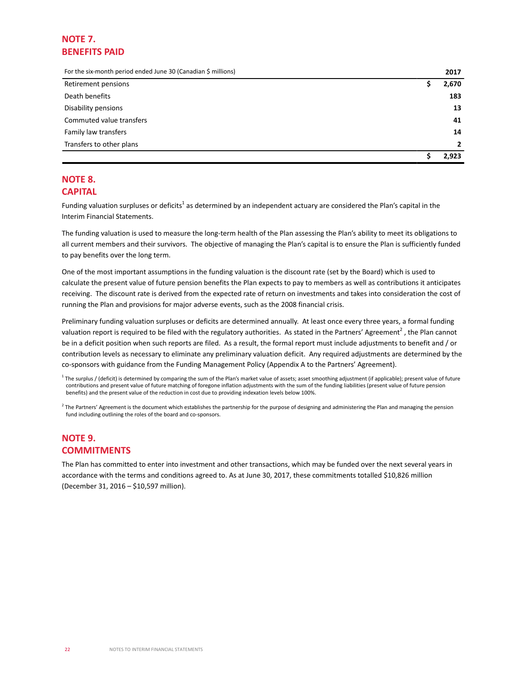# **NOTE 7. BENEFITS PAID**

For the six-month period ended June 30 (Canadian \$ millions) **2017**

| Retirement pensions      | 2,670          |
|--------------------------|----------------|
| Death benefits           | 183            |
| Disability pensions      | 13             |
| Commuted value transfers | 41             |
| Family law transfers     | 14             |
| Transfers to other plans | $\overline{2}$ |
|                          | 2.923          |

## **NOTE 8. CAPITAL**

Funding valuation surpluses or deficits<sup>1</sup> as determined by an independent actuary are considered the Plan's capital in the Interim Financial Statements.

The funding valuation is used to measure the long-term health of the Plan assessing the Plan's ability to meet its obligations to all current members and their survivors. The objective of managing the Plan's capital is to ensure the Plan is sufficiently funded to pay benefits over the long term.

One of the most important assumptions in the funding valuation is the discount rate (set by the Board) which is used to calculate the present value of future pension benefits the Plan expects to pay to members as well as contributions it anticipates receiving. The discount rate is derived from the expected rate of return on investments and takes into consideration the cost of running the Plan and provisions for major adverse events, such as the 2008 financial crisis.

Preliminary funding valuation surpluses or deficits are determined annually. At least once every three years, a formal funding valuation report is required to be filed with the regulatory authorities. As stated in the Partners' Agreement<sup>2</sup>, the Plan cannot be in a deficit position when such reports are filed. As a result, the formal report must include adjustments to benefit and / or contribution levels as necessary to eliminate any preliminary valuation deficit. Any required adjustments are determined by the co-sponsors with guidance from the Funding Management Policy (Appendix A to the Partners' Agreement).

<sup>2</sup> The Partners' Agreement is the document which establishes the partnership for the purpose of designing and administering the Plan and managing the pension fund including outlining the roles of the board and co-sponsors.

## **NOTE 9. COMMITMENTS**

The Plan has committed to enter into investment and other transactions, which may be funded over the next several years in accordance with the terms and conditions agreed to. As at June 30, 2017, these commitments totalled \$10,826 million (December 31, 2016 – \$10,597 million).

<sup>&</sup>lt;sup>1</sup> The surplus / (deficit) is determined by comparing the sum of the Plan's market value of assets; asset smoothing adjustment (if applicable); present value of future contributions and present value of future matching of foregone inflation adjustments with the sum of the funding liabilities (present value of future pension benefits) and the present value of the reduction in cost due to providing indexation levels below 100%.